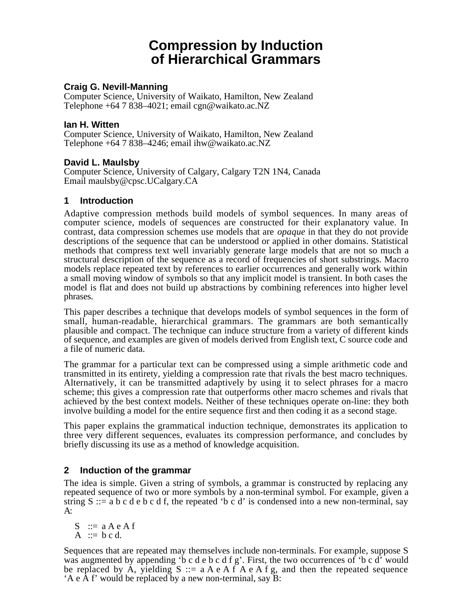# **Compression by Induction of Hierarchical Grammars**

# **Craig G. Nevill-Manning**

Computer Science, University of Waikato, Hamilton, New Zealand Telephone +64 7 838–4021; email cgn@waikato.ac.NZ

## **Ian H. Witten**

Computer Science, University of Waikato, Hamilton, New Zealand Telephone +64 7 838–4246; email ihw@waikato.ac.NZ

# **David L. Maulsby**

Computer Science, University of Calgary, Calgary T2N 1N4, Canada Email maulsby@cpsc.UCalgary.CA

## **1 Introduction**

Adaptive compression methods build models of symbol sequences. In many areas of computer science, models of sequences are constructed for their explanatory value. In contrast, data compression schemes use models that are *opaque* in that they do not provide descriptions of the sequence that can be understood or applied in other domains. Statistical methods that compress text well invariably generate large models that are not so much a structural description of the sequence as a record of frequencies of short substrings. Macro models replace repeated text by references to earlier occurrences and generally work within a small moving window of symbols so that any implicit model is transient. In both cases the model is flat and does not build up abstractions by combining references into higher level phrases.

This paper describes a technique that develops models of symbol sequences in the form of small, human-readable, hierarchical grammars. The grammars are both semantically plausible and compact. The technique can induce structure from a variety of different kinds of sequence, and examples are given of models derived from English text, C source code and a file of numeric data.

The grammar for a particular text can be compressed using a simple arithmetic code and transmitted in its entirety, yielding a compression rate that rivals the best macro techniques. Alternatively, it can be transmitted adaptively by using it to select phrases for a macro scheme; this gives a compression rate that outperforms other macro schemes and rivals that achieved by the best context models. Neither of these techniques operate on-line: they both involve building a model for the entire sequence first and then coding it as a second stage.

This paper explains the grammatical induction technique, demonstrates its application to three very different sequences, evaluates its compression performance, and concludes by briefly discussing its use as a method of knowledge acquisition.

# **2 Induction of the grammar**

The idea is simple. Given a string of symbols, a grammar is constructed by replacing any repeated sequence of two or more symbols by a non-terminal symbol. For example, given a string  $S ::= a b c d e b c d f$ , the repeated 'b c d' is condensed into a new non-terminal, say  $A^{\cdot}$ 

 $S \nightharpoonup a A e A f$ A  $:= b c d.$ 

Sequences that are repeated may themselves include non-terminals. For example, suppose S was augmented by appending 'b c d e b c d f g'. First, the two occurrences of 'b c d' would be replaced by A, yielding  $S ::= a A e A f A e A f g$ , and then the repeated sequence 'A e A f' would be replaced by a new non-terminal, say B: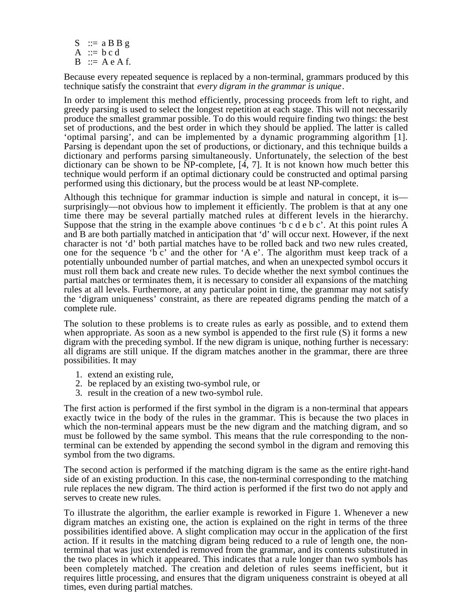$S$  : = a B B g A  $:= b c d$  $B \nightharpoonup$  A e A f.

Because every repeated sequence is replaced by a non-terminal, grammars produced by this technique satisfy the constraint that *every digram in the grammar is unique*.

In order to implement this method efficiently, processing proceeds from left to right, and greedy parsing is used to select the longest repetition at each stage. This will not necessarily produce the smallest grammar possible. To do this would require finding two things: the best set of productions, and the best order in which they should be applied. The latter is called 'optimal parsing', and can be implemented by a dynamic programming algorithm [1]. Parsing is dependant upon the set of productions, or dictionary, and this technique builds a dictionary and performs parsing simultaneously. Unfortunately, the selection of the best dictionary can be shown to be NP-complete, [4, 7]. It is not known how much better this technique would perform if an optimal dictionary could be constructed and optimal parsing performed using this dictionary, but the process would be at least NP-complete.

Although this technique for grammar induction is simple and natural in concept, it is surprisingly—not obvious how to implement it efficiently. The problem is that at any one time there may be several partially matched rules at different levels in the hierarchy. Suppose that the string in the example above continues 'b c d e b c'. At this point rules A and B are both partially matched in anticipation that 'd' will occur next. However, if the next character is not 'd' both partial matches have to be rolled back and two new rules created, one for the sequence 'b c' and the other for 'A e'. The algorithm must keep track of a potentially unbounded number of partial matches, and when an unexpected symbol occurs it must roll them back and create new rules. To decide whether the next symbol continues the partial matches or terminates them, it is necessary to consider all expansions of the matching rules at all levels. Furthermore, at any particular point in time, the grammar may not satisfy the 'digram uniqueness' constraint, as there are repeated digrams pending the match of a complete rule.

The solution to these problems is to create rules as early as possible, and to extend them when appropriate. As soon as a new symbol is appended to the first rule (S) it forms a new digram with the preceding symbol. If the new digram is unique, nothing further is necessary: all digrams are still unique. If the digram matches another in the grammar, there are three possibilities. It may

- 1. extend an existing rule,
- 2. be replaced by an existing two-symbol rule, or
- 3. result in the creation of a new two-symbol rule.

The first action is performed if the first symbol in the digram is a non-terminal that appears exactly twice in the body of the rules in the grammar. This is because the two places in which the non-terminal appears must be the new digram and the matching digram, and so must be followed by the same symbol. This means that the rule corresponding to the nonterminal can be extended by appending the second symbol in the digram and removing this symbol from the two digrams.

The second action is performed if the matching digram is the same as the entire right-hand side of an existing production. In this case, the non-terminal corresponding to the matching rule replaces the new digram. The third action is performed if the first two do not apply and serves to create new rules.

To illustrate the algorithm, the earlier example is reworked in Figure 1. Whenever a new digram matches an existing one, the action is explained on the right in terms of the three possibilities identified above. A slight complication may occur in the application of the first action. If it results in the matching digram being reduced to a rule of length one, the nonterminal that was just extended is removed from the grammar, and its contents substituted in the two places in which it appeared. This indicates that a rule longer than two symbols has been completely matched. The creation and deletion of rules seems inefficient, but it requires little processing, and ensures that the digram uniqueness constraint is obeyed at all times, even during partial matches.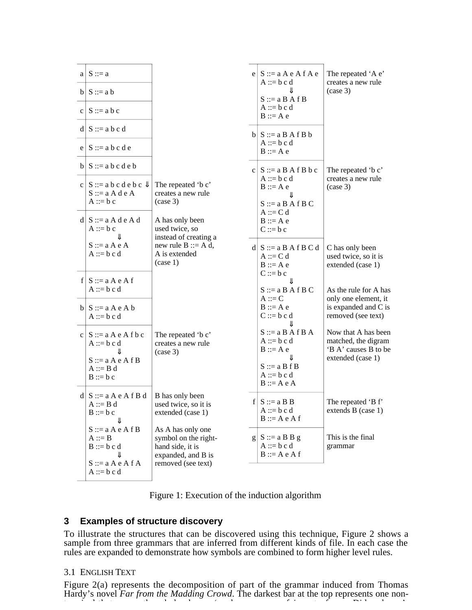| $a \mid S ::= a$                                                            |                                                                                     | $e \mid S ::= a A e A f A e$<br>$A ::= b c d$                       | The repeated 'A e'<br>creates a new rule                           |
|-----------------------------------------------------------------------------|-------------------------------------------------------------------------------------|---------------------------------------------------------------------|--------------------------------------------------------------------|
| $b \mid S ::= a b$                                                          |                                                                                     | $S ::= a B A f B$                                                   | $(\case 3)$                                                        |
| $c \mid S ::= a b c$                                                        |                                                                                     | $A ::= b c d$<br>$B ::= A e$                                        |                                                                    |
| $d S ::= a b c d$                                                           |                                                                                     | $b \mid S ::= a B A f B b$                                          |                                                                    |
| $e \mid S ::= a b c d e$                                                    |                                                                                     | $A ::= b c d$<br>$B ::= A e$                                        |                                                                    |
| $b   S ::= a b c d e b$                                                     |                                                                                     | $c \mid S ::= a \mid B \mid A \mid B \mid b \mid c$                 | The repeated 'b c'                                                 |
| $c \mid S ::= a b c d e b c \Downarrow$<br>$S ::= a A d e A$<br>$A ::= b c$ | The repeated 'b c'<br>creates a new rule<br>$(\case 3)$                             | $A ::= b c d$<br>$B ::= A e$<br>Jl                                  | creates a new rule<br>$(\case 3)$                                  |
| $d S ::= a A d e A d$                                                       | A has only been                                                                     | $S ::= a B A f B C$<br>$A ::= C d$<br>$B ::= A e$                   |                                                                    |
| $A ::= b c$<br>Jl                                                           | used twice, so<br>instead of creating a                                             | $C ::= b c$                                                         |                                                                    |
| $S ::= a A e A$<br>$A ::= b c d$                                            | new rule $B ::= A d$ ,<br>A is extended<br>(case 1)                                 | $d S ::= aB \land fB C d$<br>$A ::= C d$<br>$B ::= A e$             | C has only been<br>used twice, so it is<br>extended (case 1)       |
| f $S ::= a A e A f$<br>$A ::= b c d$                                        |                                                                                     | $C ::= b c$<br>JL<br>$S ::= a B A f B C$                            | As the rule for A has                                              |
| $b \mid S ::= a \land e \land b$<br>$A ::= b c d$                           |                                                                                     | $A ::= C$<br>$B ::= A e$<br>$C ::= b c d$                           | only one element, it<br>is expanded and C is<br>removed (see text) |
| $c \mid S ::= a \land e \land f \land c$<br>$A ::= b c d$                   | The repeated 'b c'<br>creates a new rule<br>$(\case 3)$                             | $S ::= a B A f B A$<br>$A ::= b c d$<br>$B ::= A e$                 | Now that A has been<br>matched, the digram<br>'B A' causes B to be |
| $S ::= a A e A f B$<br>$A ::= B d$<br>$B ::= b c$                           |                                                                                     | $S ::= a B f B$<br>$A ::= b c d$<br>$B ::= A e A$                   | extended (case 1)                                                  |
| $d S ::= a A e A f B d$<br>$A ::= B d$<br>$B ::= b c$<br>Jl                 | B has only been<br>used twice, so it is<br>extended (case 1)                        | $f \mid S ::= a \mid B \mid B$<br>$A ::= b c d$<br>$B ::= A e A f$  | The repeated 'B f'<br>extends B (case 1)                           |
| $S ::= a A e A f B$<br>$A ::= B$<br>$B ::= b c d$<br>JL                     | As A has only one<br>symbol on the right-<br>hand side, it is<br>expanded, and B is | $g \mid S ::= a \, B \, B \, g$<br>$A ::= b c d$<br>$B ::= A e A f$ | This is the final<br>grammar                                       |
| $S ::= a A e A f A$<br>$A ::= b c d$                                        | removed (see text)                                                                  |                                                                     |                                                                    |



# **3 Examples of structure discovery**

To illustrate the structures that can be discovered using this technique, Figure 2 shows a sample from three grammars that are inferred from different kinds of file. In each case the rules are expanded to demonstrate how symbols are combined to form higher level rules.

#### 3.1 ENGLISH TEXT

Figure 2(a) represents the decomposition of part of the grammar induced from Thomas Hardy's novel *Far from the Madding Crowd*. The darkest bar at the top represents one nont i l th t th h l h ' l f i t f Did k '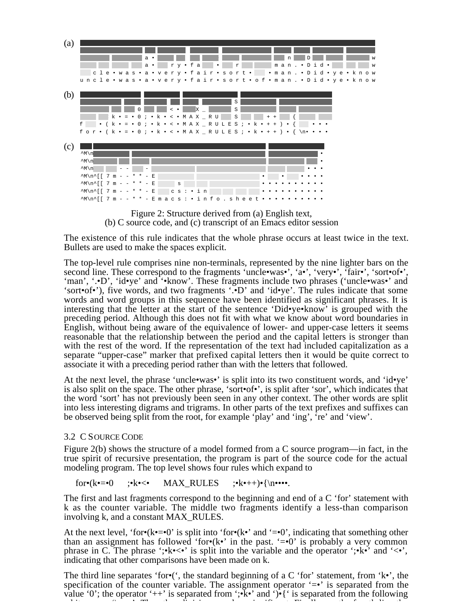

Figure 2: Structure derived from (a) English text, (b) C source code, and (c) transcript of an Emacs editor session

The existence of this rule indicates that the whole phrase occurs at least twice in the text. Bullets are used to make the spaces explicit.

The top-level rule comprises nine non-terminals, represented by the nine lighter bars on the second line. These correspond to the fragments 'uncle•was•', 'a•', 'very•', 'fair•', 'sort•of•', 'man', '.•D', 'id•ye' and '•know'. These fragments include two phrases ('uncle•was•' and 'sort•of•'), five words, and two fragments '.•D' and 'id•ye'. The rules indicate that some words and word groups in this sequence have been identified as significant phrases. It is interesting that the letter at the start of the sentence 'Did•ye•know' is grouped with the preceding period. Although this does not fit with what we know about word boundaries in English, without being aware of the equivalence of lower- and upper-case letters it seems reasonable that the relationship between the period and the capital letters is stronger than with the rest of the word. If the representation of the text had included capitalization as a separate "upper-case" marker that prefixed capital letters then it would be quite correct to associate it with a preceding period rather than with the letters that followed.

At the next level, the phrase 'uncle•was•' is split into its two constituent words, and 'id•ye' is also split on the space. The other phrase, 'sort•of•', is split after 'sor', which indicates that the word 'sort' has not previously been seen in any other context. The other words are split into less interesting digrams and trigrams. In other parts of the text prefixes and suffixes can be observed being split from the root, for example 'play' and 'ing', 're' and 'view'.

#### 3.2 C SOURCE CODE

Figure 2(b) shows the structure of a model formed from a C source program—in fact, in the true spirit of recursive presentation, the program is part of the source code for the actual modeling program. The top level shows four rules which expand to

for•(k•=•0 ;•k•<• MAX\_RULES ;•k•++)•{\n••••.

The first and last fragments correspond to the beginning and end of a C 'for' statement with k as the counter variable. The middle two fragments identify a less-than comparison involving k, and a constant MAX\_RULES.

At the next level, 'for•( $k \cdot = 0$ ' is split into 'for•( $k \cdot$ ' and '=•0', indicating that something other than an assignment has followed 'for $\cdot$ (k $\cdot$ ' in the past. '= $\cdot$ 0' is probably a very common phrase in C. The phrase ';•k• $\lt\lt\cdot$ ' is split into the variable and the operator ';•k•' and ' $\lt\lt\cdot$ ', indicating that other comparisons have been made on k.

The third line separates 'for•(', the standard beginning of a C 'for' statement, from 'k•', the specification of the counter variable. The assignment operator  $\equiv \bullet$  is separated from the value '0'; the operator '++' is separated from ';•k•' and ')•{' is separated from the following hit 's ' The discussion' in the fit is the limit of the limit of the limit of the limit of the limit of the li<br>The limit of the limit of the limit of the limit of the limit of the limit of the limit of the limit of the li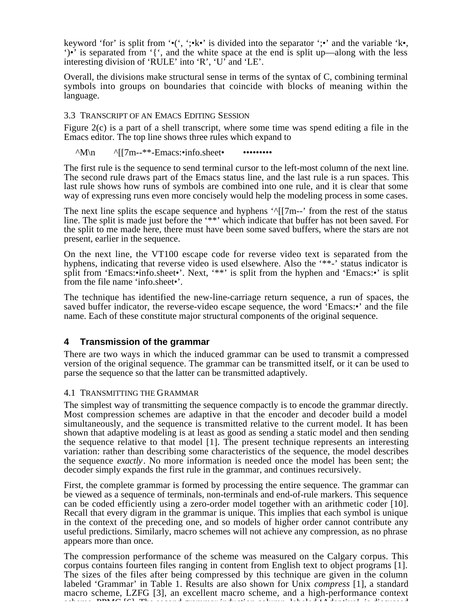keyword 'for' is split from '•(', ';•k•' is divided into the separator ';•' and the variable 'k•, ')•' is separated from '{', and the white space at the end is split up—along with the less interesting division of 'RULE' into 'R', 'U' and 'LE'.

Overall, the divisions make structural sense in terms of the syntax of C, combining terminal symbols into groups on boundaries that coincide with blocks of meaning within the language.

#### 3.3 TRANSCRIPT OF AN EMACS EDITING SESSION

Figure 2(c) is a part of a shell transcript, where some time was spend editing a file in the Emacs editor. The top line shows three rules which expand to

 $^{\wedge}M\$ n  $^{\wedge}$ [[7m--\*\*-Emacs:•info.sheet• ••••••••••••••

The first rule is the sequence to send terminal cursor to the left-most column of the next line. The second rule draws part of the Emacs status line, and the last rule is a run spaces. This last rule shows how runs of symbols are combined into one rule, and it is clear that some way of expressing runs even more concisely would help the modeling process in some cases.

The next line splits the escape sequence and hyphens  $^{\prime\prime}$ [[7m--' from the rest of the status line. The split is made just before the '\*\*' which indicate that buffer has not been saved. For the split to me made here, there must have been some saved buffers, where the stars are not present, earlier in the sequence.

On the next line, the VT100 escape code for reverse video text is separated from the hyphens, indicating that reverse video is used elsewhere. Also the '\*\*-' status indicator is split from 'Emacs:•info.sheet•'. Next, '\*\*' is split from the hyphen and 'Emacs:•' is split from the file name 'info.sheet•'.

The technique has identified the new-line-carriage return sequence, a run of spaces, the saved buffer indicator, the reverse-video escape sequence, the word 'Emacs:•' and the file name. Each of these constitute major structural components of the original sequence.

# **4 Transmission of the grammar**

There are two ways in which the induced grammar can be used to transmit a compressed version of the original sequence. The grammar can be transmitted itself, or it can be used to parse the sequence so that the latter can be transmitted adaptively.

#### 4.1 TRANSMITTING THE GRAMMAR

The simplest way of transmitting the sequence compactly is to encode the grammar directly. Most compression schemes are adaptive in that the encoder and decoder build a model simultaneously, and the sequence is transmitted relative to the current model. It has been shown that adaptive modeling is at least as good as sending a static model and then sending the sequence relative to that model [1]. The present technique represents an interesting variation: rather than describing some characteristics of the sequence, the model describes the sequence *exactly*. No more information is needed once the model has been sent; the decoder simply expands the first rule in the grammar, and continues recursively.

First, the complete grammar is formed by processing the entire sequence. The grammar can be viewed as a sequence of terminals, non-terminals and end-of-rule markers. This sequence can be coded efficiently using a zero-order model together with an arithmetic coder [10]. Recall that every digram in the grammar is unique. This implies that each symbol is unique in the context of the preceding one, and so models of higher order cannot contribute any useful predictions. Similarly, macro schemes will not achieve any compression, as no phrase appears more than once.

The compression performance of the scheme was measured on the Calgary corpus. This corpus contains fourteen files ranging in content from English text to object programs [1]. The sizes of the files after being compressed by this technique are given in the column labeled 'Grammar' in Table 1. Results are also shown for Unix *compress* [1], a standard macro scheme, LZFG [3], an excellent macro scheme, and a high-performance context s the second ppm  $\mathcal{L}(\mathcal{A})$  induction column labeled induction column labeled induction column labeled induction column labeled induction column labeled induction column labeled induction column labeled induction colu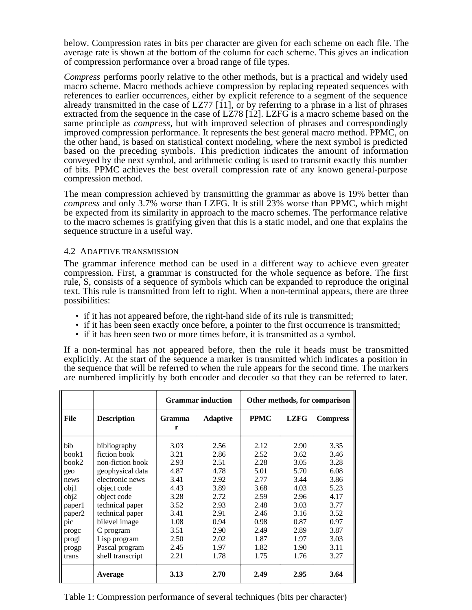below. Compression rates in bits per character are given for each scheme on each file. The average rate is shown at the bottom of the column for each scheme. This gives an indication of compression performance over a broad range of file types.

*Compress* performs poorly relative to the other methods, but is a practical and widely used macro scheme. Macro methods achieve compression by replacing repeated sequences with references to earlier occurrences, either by explicit reference to a segment of the sequence already transmitted in the case of LZ77 [11], or by referring to a phrase in a list of phrases extracted from the sequence in the case of LZ78 [12]. LZFG is a macro scheme based on the same principle as *compress*, but with improved selection of phrases and correspondingly improved compression performance. It represents the best general macro method. PPMC, on the other hand, is based on statistical context modeling, where the next symbol is predicted based on the preceding symbols. This prediction indicates the amount of information conveyed by the next symbol, and arithmetic coding is used to transmit exactly this number of bits. PPMC achieves the best overall compression rate of any known general-purpose compression method.

The mean compression achieved by transmitting the grammar as above is 19% better than *compress* and only 3.7% worse than LZFG. It is still 23% worse than PPMC, which might be expected from its similarity in approach to the macro schemes. The performance relative to the macro schemes is gratifying given that this is a static model, and one that explains the sequence structure in a useful way.

#### 4.2 ADAPTIVE TRANSMISSION

The grammar inference method can be used in a different way to achieve even greater compression. First, a grammar is constructed for the whole sequence as before. The first rule, S, consists of a sequence of symbols which can be expanded to reproduce the original text. This rule is transmitted from left to right. When a non-terminal appears, there are three possibilities:

- if it has not appeared before, the right-hand side of its rule is transmitted;
- if it has been seen exactly once before, a pointer to the first occurrence is transmitted;
- if it has been seen two or more times before, it is transmitted as a symbol.

If a non-terminal has not appeared before, then the rule it heads must be transmitted explicitly. At the start of the sequence a marker is transmitted which indicates a position in the sequence that will be referred to when the rule appears for the second time. The markers are numbered implicitly by both encoder and decoder so that they can be referred to later.

|             |                    | <b>Grammar induction</b> |                 | Other methods, for comparison |             |                 |
|-------------|--------------------|--------------------------|-----------------|-------------------------------|-------------|-----------------|
| <b>File</b> | <b>Description</b> | <b>Gramma</b><br>r       | <b>Adaptive</b> | <b>PPMC</b>                   | <b>LZFG</b> | <b>Compress</b> |
| bib         | bibliography       | 3.03                     | 2.56            | 2.12                          | 2.90        | 3.35            |
| book1       | fiction book       | 3.21                     | 2.86            | 2.52                          | 3.62        | 3.46            |
| book2       | non-fiction book   | 2.93                     | 2.51            | 2.28                          | 3.05        | 3.28            |
| geo         | geophysical data   | 4.87                     | 4.78            | 5.01                          | 5.70        | 6.08            |
| news        | electronic news    | 3.41                     | 2.92            | 2.77                          | 3.44        | 3.86            |
| obj1        | object code        | 4.43                     | 3.89            | 3.68                          | 4.03        | 5.23            |
| obj2        | object code        | 3.28                     | 2.72            | 2.59                          | 2.96        | 4.17            |
| paper l     | technical paper    | 3.52                     | 2.93            | 2.48                          | 3.03        | 3.77            |
| paper2      | technical paper    | 3.41                     | 2.91            | 2.46                          | 3.16        | 3.52            |
| pic         | bilevel image      | 1.08                     | 0.94            | 0.98                          | 0.87        | 0.97            |
| progc       | C program          | 3.51                     | 2.90            | 2.49                          | 2.89        | 3.87            |
| progl       | Lisp program       | 2.50                     | 2.02            | 1.87                          | 1.97        | 3.03            |
| progp       | Pascal program     | 2.45                     | 1.97            | 1.82                          | 1.90        | 3.11            |
| trans       | shell transcript   | 2.21                     | 1.78            | 1.75                          | 1.76        | 3.27            |
|             | Average            | 3.13                     | 2.70            | 2.49                          | 2.95        | 3.64            |

Table 1: Compression performance of several techniques (bits per character)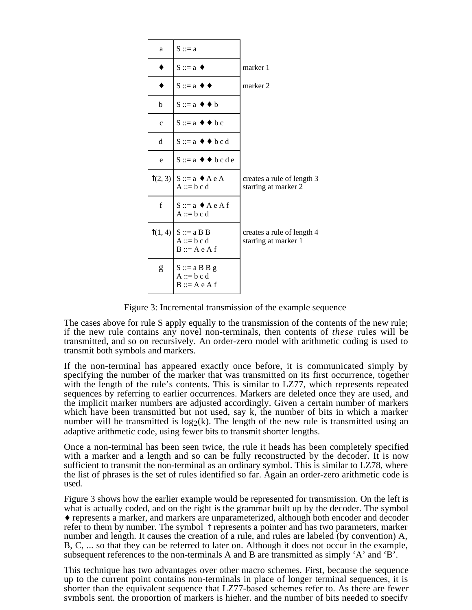| a            | $S ::= a$                                                         |                                                    |
|--------------|-------------------------------------------------------------------|----------------------------------------------------|
|              | $S ::= a \; \bullet$                                              | marker 1                                           |
|              | $S ::= a \; \blacklozenge \; \triangleleft$                       | marker 2                                           |
| b            | $S ::= a \bullet \bullet b$                                       |                                                    |
| $\mathbf{C}$ | $S ::= a \bullet \bullet bc$                                      |                                                    |
| d            | $S ::= a \leftrightarrow b \circ d$                               |                                                    |
| e            | $S ::= a \bullet \bullet \bullet bcde$                            |                                                    |
|              | $\hat{\Gamma}(2,3)$ S ::= a $\bullet$ A e A<br>$A ::= b c d$      | creates a rule of length 3<br>starting at marker 2 |
| $\mathbf f$  | $S ::= a \triangle A e A f$<br>$A ::= b c d$                      |                                                    |
|              | $\hat{1}(1, 4)$ $S ::= a B B$<br>$A ::= b c d$<br>$B ::= A e A f$ | creates a rule of length 4<br>starting at marker 1 |
| g            | $S ::= a \, B \, B \, g$<br>$A ::= b c d$<br>$B ::= A e A f$      |                                                    |

Figure 3: Incremental transmission of the example sequence

The cases above for rule S apply equally to the transmission of the contents of the new rule; if the new rule contains any novel non-terminals, then contents of *these* rules will be transmitted, and so on recursively. An order-zero model with arithmetic coding is used to transmit both symbols and markers.

If the non-terminal has appeared exactly once before, it is communicated simply by specifying the number of the marker that was transmitted on its first occurrence, together with the length of the rule's contents. This is similar to LZ77, which represents repeated sequences by referring to earlier occurrences. Markers are deleted once they are used, and the implicit marker numbers are adjusted accordingly. Given a certain number of markers which have been transmitted but not used, say k, the number of bits in which a marker number will be transmitted is  $log_2(k)$ . The length of the new rule is transmitted using an adaptive arithmetic code, using fewer bits to transmit shorter lengths.

Once a non-terminal has been seen twice, the rule it heads has been completely specified with a marker and a length and so can be fully reconstructed by the decoder. It is now sufficient to transmit the non-terminal as an ordinary symbol. This is similar to LZ78, where the list of phrases is the set of rules identified so far. Again an order-zero arithmetic code is used.

Figure 3 shows how the earlier example would be represented for transmission. On the left is what is actually coded, and on the right is the grammar built up by the decoder. The symbol ♦ represents a marker, and markers are unparameterized, although both encoder and decoder refer to them by number. The symbol  $\uparrow$  represents a pointer and has two parameters, marker number and length. It causes the creation of a rule, and rules are labeled (by convention) A, B, C, ... so that they can be referred to later on. Although it does not occur in the example, subsequent references to the non-terminals A and B are transmitted as simply  $A'$  and  $B'$ .

This technique has two advantages over other macro schemes. First, because the sequence up to the current point contains non-terminals in place of longer terminal sequences, it is shorter than the equivalent sequence that LZ77-based schemes refer to. As there are fewer symbols sent, the proportion of markers is higher, and the number of bits needed to specify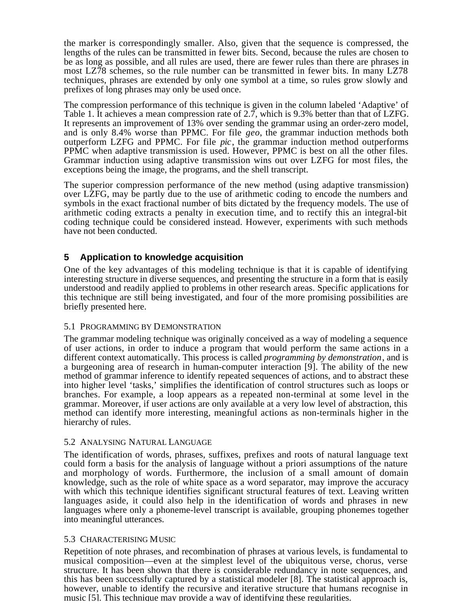the marker is correspondingly smaller. Also, given that the sequence is compressed, the lengths of the rules can be transmitted in fewer bits. Second, because the rules are chosen to be as long as possible, and all rules are used, there are fewer rules than there are phrases in most LZ78 schemes, so the rule number can be transmitted in fewer bits. In many LZ78 techniques, phrases are extended by only one symbol at a time, so rules grow slowly and prefixes of long phrases may only be used once.

The compression performance of this technique is given in the column labeled 'Adaptive' of Table 1. It achieves a mean compression rate of 2.7, which is 9.3% better than that of LZFG. It represents an improvement of 13% over sending the grammar using an order-zero model, and is only 8.4% worse than PPMC. For file *geo*, the grammar induction methods both outperform LZFG and PPMC. For file *pic*, the grammar induction method outperforms PPMC when adaptive transmission is used. However, PPMC is best on all the other files. Grammar induction using adaptive transmission wins out over LZFG for most files, the exceptions being the image, the programs, and the shell transcript.

The superior compression performance of the new method (using adaptive transmission) over LZFG, may be partly due to the use of arithmetic coding to encode the numbers and symbols in the exact fractional number of bits dictated by the frequency models. The use of arithmetic coding extracts a penalty in execution time, and to rectify this an integral-bit coding technique could be considered instead. However, experiments with such methods have not been conducted.

# **5 Application to knowledge acquisition**

One of the key advantages of this modeling technique is that it is capable of identifying interesting structure in diverse sequences, and presenting the structure in a form that is easily understood and readily applied to problems in other research areas. Specific applications for this technique are still being investigated, and four of the more promising possibilities are briefly presented here.

#### 5.1 PROGRAMMING BY DEMONSTRATION

The grammar modeling technique was originally conceived as a way of modeling a sequence of user actions, in order to induce a program that would perform the same actions in a different context automatically. This process is called *programming by demonstration*, and is a burgeoning area of research in human-computer interaction [9]. The ability of the new method of grammar inference to identify repeated sequences of actions, and to abstract these into higher level 'tasks,' simplifies the identification of control structures such as loops or branches. For example, a loop appears as a repeated non-terminal at some level in the grammar. Moreover, if user actions are only available at a very low level of abstraction, this method can identify more interesting, meaningful actions as non-terminals higher in the hierarchy of rules.

#### 5.2 ANALYSING NATURAL LANGUAGE

The identification of words, phrases, suffixes, prefixes and roots of natural language text could form a basis for the analysis of language without a priori assumptions of the nature and morphology of words. Furthermore, the inclusion of a small amount of domain knowledge, such as the role of white space as a word separator, may improve the accuracy with which this technique identifies significant structural features of text. Leaving written languages aside, it could also help in the identification of words and phrases in new languages where only a phoneme-level transcript is available, grouping phonemes together into meaningful utterances.

#### 5.3 CHARACTERISING MUSIC

Repetition of note phrases, and recombination of phrases at various levels, is fundamental to musical composition—even at the simplest level of the ubiquitous verse, chorus, verse structure. It has been shown that there is considerable redundancy in note sequences, and this has been successfully captured by a statistical modeler [8]. The statistical approach is, however, unable to identify the recursive and iterative structure that humans recognise in music [5]. This technique may provide a way of identifying these regularities.